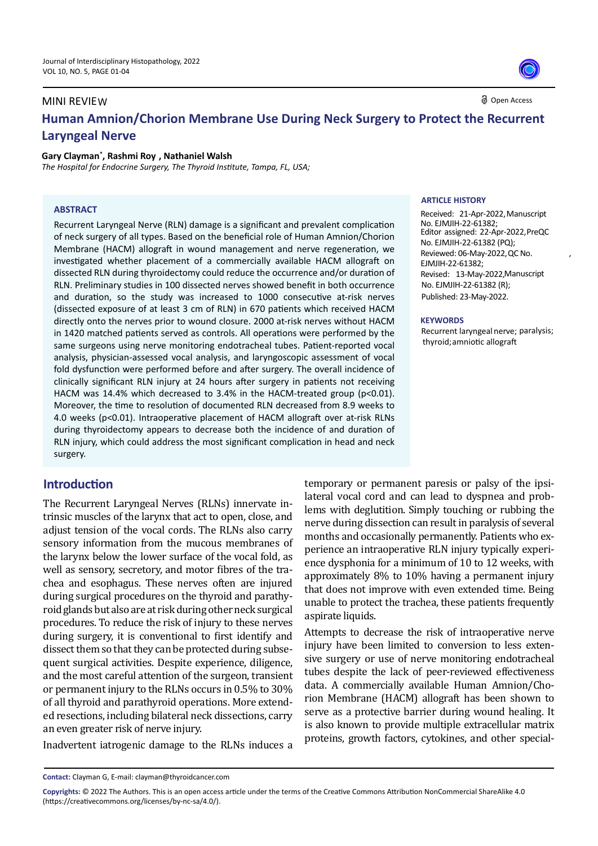## Open Access **Human Amnion/Chorion Membrane Use During Neck Surgery to Protect the Recurrent Laryngeal Nerve** MINI REVIEW

#### **Gary Clayman\* , Rashmi Roy , Nathaniel Walsh**

*The Hospital for Endocrine Surgery, The Thyroid Institute, Tampa, FL, USA;*

#### **ABSTRACT**

Recurrent Laryngeal Nerve (RLN) damage is a significant and prevalent complication of neck surgery of all types. Based on the beneficial role of Human Amnion/Chorion Membrane (HACM) allograft in wound management and nerve regeneration, we investigated whether placement of a commercially available HACM allograft on dissected RLN during thyroidectomy could reduce the occurrence and/or duration of RLN. Preliminary studies in 100 dissected nerves showed benefit in both occurrence and duration, so the study was increased to 1000 consecutive at-risk nerves (dissected exposure of at least 3 cm of RLN) in 670 patients which received HACM directly onto the nerves prior to wound closure. 2000 at-risk nerves without HACM in 1420 matched patients served as controls. All operations were performed by the same surgeons using nerve monitoring endotracheal tubes. Patient-reported vocal analysis, physician-assessed vocal analysis, and laryngoscopic assessment of vocal fold dysfunction were performed before and after surgery. The overall incidence of clinically significant RLN injury at 24 hours after surgery in patients not receiving HACM was 14.4% which decreased to 3.4% in the HACM-treated group (p<0.01). Moreover, the time to resolution of documented RLN decreased from 8.9 weeks to 4.0 weeks (p<0.01). Intraoperative placement of HACM allograft over at-risk RLNs during thyroidectomy appears to decrease both the incidence of and duration of RLN injury, which could address the most significant complication in head and neck surgery.

# **Introduction**

The Recurrent Laryngeal Nerves (RLNs) innervate intrinsic muscles of the larynx that act to open, close, and adjust tension of the vocal cords. The RLNs also carry sensory information from the mucous membranes of the larynx below the lower surface of the vocal fold, as well as sensory, secretory, and motor fibres of the trachea and esophagus. These nerves often are injured during surgical procedures on the thyroid and parathyroid glands but also are at risk during other neck surgical procedures. To reduce the risk of injury to these nerves during surgery, it is conventional to first identify and dissect them so that they can be protected during subsequent surgical activities. Despite experience, diligence, and the most careful attention of the surgeon, transient or permanent injury to the RLNs occurs in 0.5% to 30% of all thyroid and parathyroid operations. More extended resections, including bilateral neck dissections, carry an even greater risk of nerve injury.

Inadvertent iatrogenic damage to the RLNs induces a

#### **ARTICLE HISTORY**

No. EJMJIH-22-61382; No. EJMJIH-22-61382 (PQ); EJMJIH-22-61382; No. EJMJIH-22-61382 (R); Published: 23-May-2022. Received: 21-Apr-2022, Manuscript Editor assigned: 22-Apr-2022, PreQC Reviewed: 06-May-2022, QC No. Revised: 13-May-2022, Manuscript

,

#### **KEYWORDS**

Recurrent laryngeal nerve; paralysis; thyroid; amniotic allograft

temporary or permanent paresis or palsy of the ipsilateral vocal cord and can lead to dyspnea and problems with deglutition. Simply touching or rubbing the nerve during dissection can result in paralysis of several months and occasionally permanently. Patients who experience an intraoperative RLN injury typically experience dysphonia for a minimum of 10 to 12 weeks, with approximately 8% to 10% having a permanent injury that does not improve with even extended time. Being unable to protect the trachea, these patients frequently aspirate liquids.

Attempts to decrease the risk of intraoperative nerve injury have been limited to conversion to less extensive surgery or use of nerve monitoring endotracheal tubes despite the lack of peer-reviewed effectiveness data. A commercially available Human Amnion/Chorion Membrane (HACM) allograft has been shown to serve as a protective barrier during wound healing. It is also known to provide multiple extracellular matrix proteins, growth factors, cytokines, and other special-

**Contact:** Clayman G, E-mail: clayman@thyroidcancer.com

**Copyrights:** © 2022 The Authors. This is an open access article under the terms of the Creative Commons Attribution NonCommercial ShareAlike 4.0 (https://creativecommons.org/licenses/by-nc-sa/4.0/).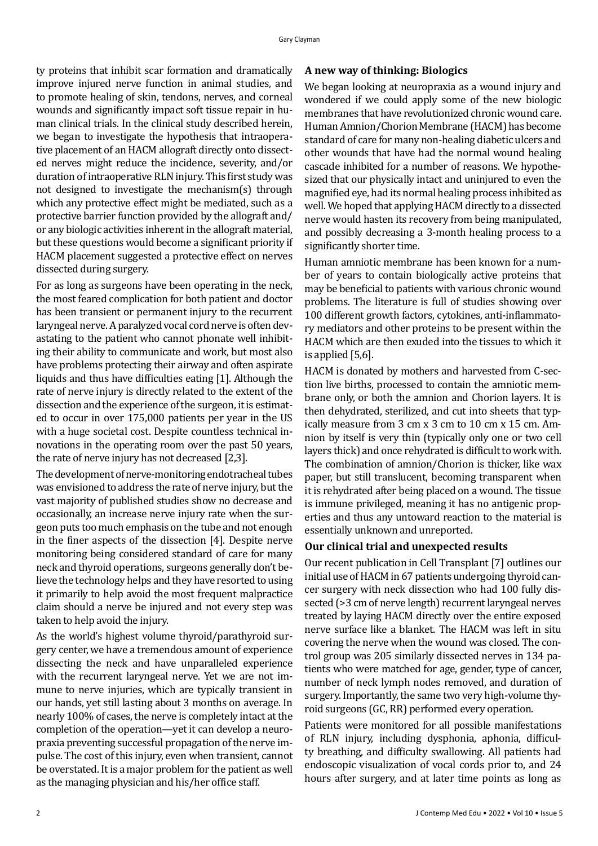ty proteins that inhibit scar formation and dramatically improve injured nerve function in animal studies, and to promote healing of skin, tendons, nerves, and corneal wounds and significantly impact soft tissue repair in human clinical trials. In the clinical study described herein, we began to investigate the hypothesis that intraoperative placement of an HACM allograft directly onto dissected nerves might reduce the incidence, severity, and/or duration of intraoperative RLN injury. This first study was not designed to investigate the mechanism(s) through which any protective effect might be mediated, such as a protective barrier function provided by the allograft and/ or any biologic activities inherent in the allograft material, but these questions would become a significant priority if HACM placement suggested a protective effect on nerves dissected during surgery.

For as long as surgeons have been operating in the neck, the most feared complication for both patient and doctor has been transient or permanent injury to the recurrent laryngeal nerve. A paralyzed vocal cord nerve is often devastating to the patient who cannot phonate well inhibiting their ability to communicate and work, but most also have problems protecting their airway and often aspirate liquids and thus have difficulties eating [1]. Although the rate of nerve injury is directly related to the extent of the dissection and the experience of the surgeon, it is estimated to occur in over 175,000 patients per year in the US with a huge societal cost. Despite countless technical innovations in the operating room over the past 50 years, the rate of nerve injury has not decreased [2,3].

The development of nerve-monitoring endotracheal tubes was envisioned to address the rate of nerve injury, but the vast majority of published studies show no decrease and occasionally, an increase nerve injury rate when the surgeon puts too much emphasis on the tube and not enough in the finer aspects of the dissection [4]. Despite nerve monitoring being considered standard of care for many neck and thyroid operations, surgeons generally don't believe the technology helps and they have resorted to using it primarily to help avoid the most frequent malpractice claim should a nerve be injured and not every step was taken to help avoid the injury.

As the world's highest volume thyroid/parathyroid surgery center, we have a tremendous amount of experience dissecting the neck and have unparalleled experience with the recurrent laryngeal nerve. Yet we are not immune to nerve injuries, which are typically transient in our hands, yet still lasting about 3 months on average. In nearly 100% of cases, the nerve is completely intact at the completion of the operation—yet it can develop a neuropraxia preventing successful propagation of the nerve impulse. The cost of this injury, even when transient, cannot be overstated. It is a major problem for the patient as well as the managing physician and his/her office staff.

## **A new way of thinking: Biologics**

We began looking at neuropraxia as a wound injury and wondered if we could apply some of the new biologic membranes that have revolutionized chronic wound care. Human Amnion/Chorion Membrane (HACM) has become standard of care for many non-healing diabetic ulcers and other wounds that have had the normal wound healing cascade inhibited for a number of reasons. We hypothesized that our physically intact and uninjured to even the magnified eye, had its normal healing process inhibited as well. We hoped that applying HACM directly to a dissected nerve would hasten its recovery from being manipulated, and possibly decreasing a 3-month healing process to a significantly shorter time.

Human amniotic membrane has been known for a number of years to contain biologically active proteins that may be beneficial to patients with various chronic wound problems. The literature is full of studies showing over 100 different growth factors, cytokines, anti-inflammatory mediators and other proteins to be present within the HACM which are then exuded into the tissues to which it is applied [5,6].

HACM is donated by mothers and harvested from C-section live births, processed to contain the amniotic membrane only, or both the amnion and Chorion layers. It is then dehydrated, sterilized, and cut into sheets that typically measure from 3 cm x 3 cm to 10 cm x 15 cm. Amnion by itself is very thin (typically only one or two cell layers thick) and once rehydrated is difficult to work with. The combination of amnion/Chorion is thicker, like wax paper, but still translucent, becoming transparent when it is rehydrated after being placed on a wound. The tissue is immune privileged, meaning it has no antigenic properties and thus any untoward reaction to the material is essentially unknown and unreported.

### **Our clinical trial and unexpected results**

Our recent publication in Cell Transplant [7] outlines our initial use of HACM in 67 patients undergoing thyroid cancer surgery with neck dissection who had 100 fully dissected (>3 cm of nerve length) recurrent laryngeal nerves treated by laying HACM directly over the entire exposed nerve surface like a blanket. The HACM was left in situ covering the nerve when the wound was closed. The control group was 205 similarly dissected nerves in 134 patients who were matched for age, gender, type of cancer, number of neck lymph nodes removed, and duration of surgery. Importantly, the same two very high-volume thyroid surgeons (GC, RR) performed every operation.

Patients were monitored for all possible manifestations of RLN injury, including dysphonia, aphonia, difficulty breathing, and difficulty swallowing. All patients had endoscopic visualization of vocal cords prior to, and 24 hours after surgery, and at later time points as long as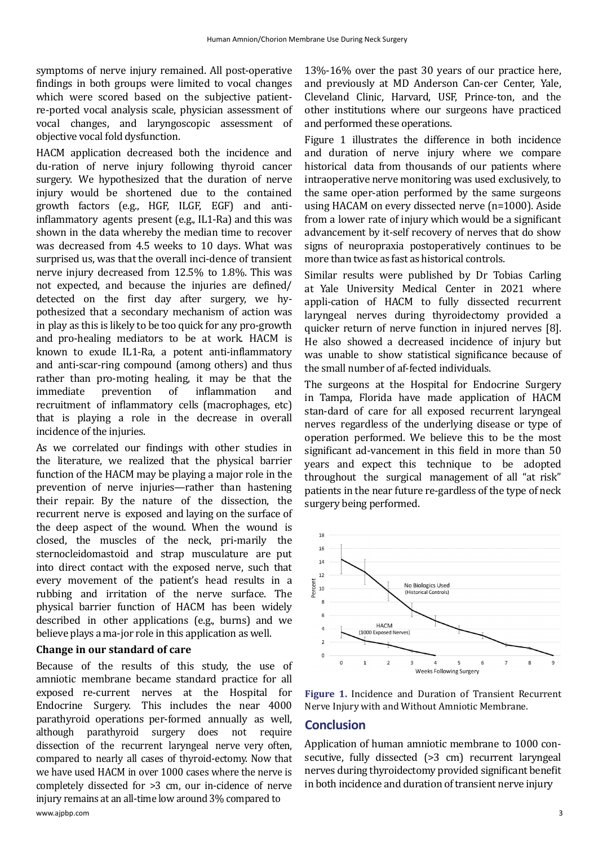symptoms of nerve injury remained. All post-operative findings in both groups were limited to vocal changes which were scored based on the subjective patientre-ported vocal analysis scale, physician assessment of vocal changes, and laryngoscopic assessment of objective vocal fold dysfunction.

HACM application decreased both the incidence and du-ration of nerve injury following thyroid cancer surgery. We hypothesized that the duration of nerve injury would be shortened due to the contained growth factors (e.g., HGF, ILGF, EGF) and antiinflammatory agents present (e.g., IL1-Ra) and this was shown in the data whereby the median time to recover was decreased from 4.5 weeks to 10 days. What was surprised us, was that the overall inci-dence of transient nerve injury decreased from 12.5% to 1.8%. This was not expected, and because the injuries are defined/ detected on the first day after surgery, we hypothesized that a secondary mechanism of action was in play as this is likely to be too quick for any pro-growth and pro-healing mediators to be at work. HACM is known to exude IL1-Ra, a potent anti-inflammatory and anti-scar-ring compound (among others) and thus rather than pro-moting healing, it may be that the immediate prevention of inflammation and inflammation recruitment of inflammatory cells (macrophages, etc) that is playing a role in the decrease in overall incidence of the injuries.

As we correlated our findings with other studies in the literature, we realized that the physical barrier function of the HACM may be playing a major role in the prevention of nerve injuries—rather than hastening their repair. By the nature of the dissection, the recurrent nerve is exposed and laying on the surface of the deep aspect of the wound. When the wound is closed, the muscles of the neck, pri-marily the sternocleidomastoid and strap musculature are put into direct contact with the exposed nerve, such that every movement of the patient's head results in a rubbing and irritation of the nerve surface. The physical barrier function of HACM has been widely described in other applications (e.g., burns) and we believe plays a ma-jor role in this application as well.

## **Change in our standard of care**

Because of the results of this study, the use of amniotic membrane became standard practice for all exposed re-current nerves at the Hospital for Endocrine Surgery. This includes the near 4000 parathyroid operations per-formed annually as well, although parathyroid surgery does not require dissection of the recurrent laryngeal nerve very often, compared to nearly all cases of thyroid-ectomy. Now that we have used HACM in over 1000 cases where the nerve is completely dissected for >3 cm, our in-cidence of nerve injury remains at an all-time low around 3% compared to

13%-16% over the past 30 years of our practice here, and previously at MD Anderson Can-cer Center, Yale, Cleveland Clinic, Harvard, USF, Prince-ton, and the other institutions where our surgeons have practiced and performed these operations.

Figure 1 illustrates the difference in both incidence and duration of nerve injury where we compare historical data from thousands of our patients where intraoperative nerve monitoring was used exclusively, to the same oper-ation performed by the same surgeons using HACAM on every dissected nerve (n=1000). Aside from a lower rate of injury which would be a significant advancement by it-self recovery of nerves that do show signs of neuropraxia postoperatively continues to be more than twice as fast as historical controls.

Similar results were published by Dr Tobias Carling at Yale University Medical Center in 2021 where appli-cation of HACM to fully dissected recurrent laryngeal nerves during thyroidectomy provided a quicker return of nerve function in injured nerves [8]. He also showed a decreased incidence of injury but was unable to show statistical significance because of the small number of af-fected individuals.

The surgeons at the Hospital for Endocrine Surgery in Tampa, Florida have made application of HACM stan-dard of care for all exposed recurrent laryngeal nerves regardless of the underlying disease or type of operation performed. We believe this to be the most significant ad-vancement in this field in more than 50 years and expect this technique to be adopted throughout the surgical management of all "at risk" patients in the near future re-gardless of the type of neck surgery being performed.



**Figure 1.** Incidence and Duration of Transient Recurrent Nerve Injury with and Without Amniotic Membrane.

## **Conclusion**

Application of human amniotic membrane to 1000 consecutive, fully dissected (>3 cm) recurrent laryngeal nerves during thyroidectomy provided significant benefit in both incidence and duration of transient nerve injury